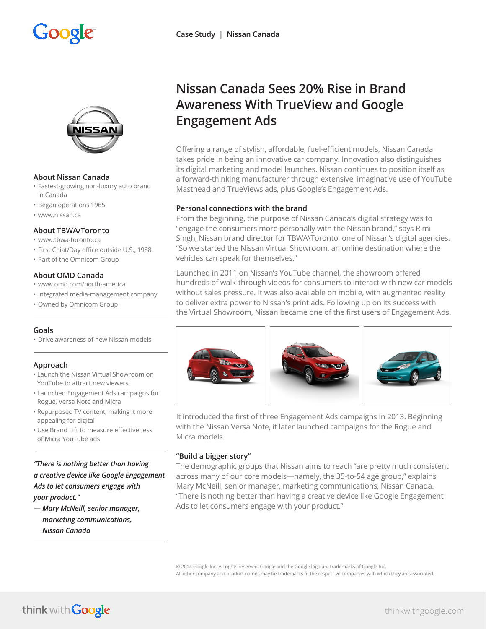# Google



# **About Nissan Canada**

- Fastest-growing non-luxury auto brand in Canada
- Began operations 1965
- www.nissan.ca

# **About TBWA/Toronto**

- www.tbwa-toronto.ca
- First Chiat/Day office outside U.S., 1988
- Part of the Omnicom Group

# **About OMD Canada**

- www.omd.com/north-america
- Integrated media-management company
- Owned by Omnicom Group

# **Goals**

• Drive awareness of new Nissan models

# **Approach**

- Launch the Nissan Virtual Showroom on YouTube to attract new viewers
- Launched Engagement Ads campaigns for Rogue, Versa Note and Micra
- Repurposed TV content, making it more appealing for digital
- Use Brand Lift to measure effectiveness of Micra YouTube ads

*"There is nothing better than having a creative device like Google Engagement Ads to let consumers engage with your product."*

*— Mary McNeill, senior manager, marketing communications, Nissan Canada*

# **Nissan Canada Sees 20% Rise in Brand Awareness With TrueView and Google Engagement Ads**

Offering a range of stylish, affordable, fuel-efficient models, Nissan Canada takes pride in being an innovative car company. Innovation also distinguishes its digital marketing and model launches. Nissan continues to position itself as a forward-thinking manufacturer through extensive, imaginative use of YouTube Masthead and TrueViews ads, plus Google's Engagement Ads.

# **Personal connections with the brand**

From the beginning, the purpose of Nissan Canada's digital strategy was to "engage the consumers more personally with the Nissan brand," says Rimi Singh, Nissan brand director for TBWA\Toronto, one of Nissan's digital agencies. "So we started the Nissan Virtual Showroom, an online destination where the vehicles can speak for themselves."

Launched in 2011 on Nissan's YouTube channel, the showroom offered hundreds of walk-through videos for consumers to interact with new car models without sales pressure. It was also available on mobile, with augmented reality to deliver extra power to Nissan's print ads. Following up on its success with the Virtual Showroom, Nissan became one of the first users of Engagement Ads.



It introduced the first of three Engagement Ads campaigns in 2013. Beginning with the Nissan Versa Note, it later launched campaigns for the Rogue and Micra models.

# **"Build a bigger story"**

The demographic groups that Nissan aims to reach "are pretty much consistent across many of our core models—namely, the 35-to-54 age group," explains Mary McNeill, senior manager, marketing communications, Nissan Canada. "There is nothing better than having a creative device like Google Engagement Ads to let consumers engage with your product."

© 2014 Google Inc. All rights reserved. Google and the Google logo are trademarks of Google Inc. All other company and product names may be trademarks of the respective companies with which they are associated.